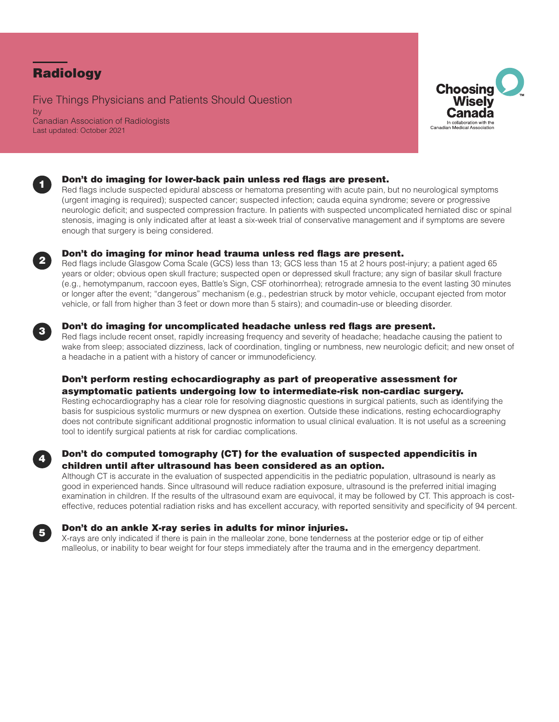# Radiology

Five Things Physicians and Patients Should Question by Canadian Association of Radiologists Last updated: October 2021





# Don't do imaging for lower-back pain unless red flags are present.

Red flags include suspected epidural abscess or hematoma presenting with acute pain, but no neurological symptoms (urgent imaging is required); suspected cancer; suspected infection; cauda equina syndrome; severe or progressive neurologic deficit; and suspected compression fracture. In patients with suspected uncomplicated herniated disc or spinal stenosis, imaging is only indicated after at least a six-week trial of conservative management and if symptoms are severe enough that surgery is being considered.



# Don't do imaging for minor head trauma unless red flags are present.

Red flags include Glasgow Coma Scale (GCS) less than 13; GCS less than 15 at 2 hours post-injury; a patient aged 65 years or older; obvious open skull fracture; suspected open or depressed skull fracture; any sign of basilar skull fracture (e.g., hemotympanum, raccoon eyes, Battle's Sign, CSF otorhinorrhea); retrograde amnesia to the event lasting 30 minutes or longer after the event; "dangerous" mechanism (e.g., pedestrian struck by motor vehicle, occupant ejected from motor vehicle, or fall from higher than 3 feet or down more than 5 stairs); and coumadin-use or bleeding disorder.



# Don't do imaging for uncomplicated headache unless red flags are present.

Red flags include recent onset, rapidly increasing frequency and severity of headache; headache causing the patient to wake from sleep; associated dizziness, lack of coordination, tingling or numbness, new neurologic deficit; and new onset of a headache in a patient with a history of cancer or immunodeficiency.

# Don't perform resting echocardiography as part of preoperative assessment for asymptomatic patients undergoing low to intermediate-risk non-cardiac surgery.

Resting echocardiography has a clear role for resolving diagnostic questions in surgical patients, such as identifying the basis for suspicious systolic murmurs or new dyspnea on exertion. Outside these indications, resting echocardiography does not contribute significant additional prognostic information to usual clinical evaluation. It is not useful as a screening tool to identify surgical patients at risk for cardiac complications.



# Don't do computed tomography (CT) for the evaluation of suspected appendicitis in children until after ultrasound has been considered as an option.

Although CT is accurate in the evaluation of suspected appendicitis in the pediatric population, ultrasound is nearly as good in experienced hands. Since ultrasound will reduce radiation exposure, ultrasound is the preferred initial imaging examination in children. If the results of the ultrasound exam are equivocal, it may be followed by CT. This approach is costeffective, reduces potential radiation risks and has excellent accuracy, with reported sensitivity and specificity of 94 percent.



### Don't do an ankle X-ray series in adults for minor injuries.

X-rays are only indicated if there is pain in the malleolar zone, bone tenderness at the posterior edge or tip of either malleolus, or inability to bear weight for four steps immediately after the trauma and in the emergency department.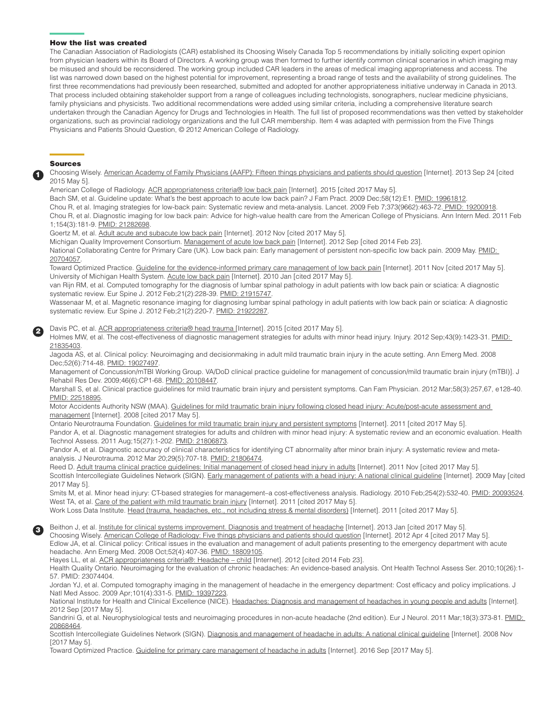#### How the list was created

The Canadian Association of Radiologists (CAR) established its Choosing Wisely Canada Top 5 recommendations by initially soliciting expert opinion from physician leaders within its Board of Directors. A working group was then formed to further identify common clinical scenarios in which imaging may be misused and should be reconsidered. The working group included CAR leaders in the areas of medical imaging appropriateness and access. The list was narrowed down based on the highest potential for improvement, representing a broad range of tests and the availability of strong guidelines. The first three recommendations had previously been researched, submitted and adopted for another appropriateness initiative underway in Canada in 2013. That process included obtaining stakeholder support from a range of colleagues including technologists, sonographers, nuclear medicine physicians, family physicians and physicists. Two additional recommendations were added using similar criteria, including a comprehensive literature search undertaken through the Canadian Agency for Drugs and Technologies in Health. The full list of proposed recommendations was then vetted by stakeholder organizations, such as provincial radiology organizations and the full CAR membership. Item 4 was adapted with permission from the Five Things Physicians and Patients Should Question, © 2012 American College of Radiology.

#### Sources

1

2

3

Choosing Wisely. [American Academy of Family Physicians \(AAFP\): Fifteen things physicians and patients should question](http://www.choosingwisely.org/doctor-patient-lists/american-academy-of-family-physicians/) [Internet]. 2013 Sep 24 [cited 2015 May 5].

American College of Radiology. [ACR appropriateness criteria® low back pain](https://acsearch.acr.org/docs/69483/Narrative/) [Internet]. 2015 [cited 2017 May 5].

Bach SM, et al. Guideline update: What's the best approach to acute low back pain? J Fam Pract. 2009 Dec;58(12):E1. [PMID: 19961812](https://www.ncbi.nlm.nih.gov/pubmed/19961812).

Chou R, et al. Imaging strategies for low-back pain: Systematic review and meta-analysis. Lancet. 2009 Feb 7;373(9662):463-72[. PMID: 19200918](https://www.ncbi.nlm.nih.gov/pubmed/19200918). Chou R, et al. Diagnostic imaging for low back pain: Advice for high-value health care from the American College of Physicians. Ann Intern Med. 2011 Feb

# 1;154(3):181-9. [PMID: 21282698.](https://www.ncbi.nlm.nih.gov/pubmed/21282698)

Goertz M, et al. [Adult acute and subacute low back pain](https://www.icsi.org/guidelines__more/catalog_guidelines_and_more/catalog_guidelines/catalog_musculoskeletal_guidelines/low_back_pain/) [Internet]. 2012 Nov [cited 2017 May 5].

Michigan Quality Improvement Consortium. [Management of acute low back pain](http://mqic.org/pdf/mqic_management_of_acute_low_back_pain_cpg.pdf) [Internet]. 2012 Sep [cited 2014 Feb 23].

National Collaborating Centre for Primary Care (UK). Low back pain: Early management of persistent non-specific low back pain. 2009 May. [PMID:](https://www.ncbi.nlm.nih.gov/pubmed/20704057)  [20704057.](https://www.ncbi.nlm.nih.gov/pubmed/20704057)

Toward Optimized Practice. [Guideline for the evidence-informed primary care management of low back pain](http://www.topalbertadoctors.org/download/572/LBPGUIDELINESNov25.pdf) [Internet]. 2011 Nov [cited 2017 May 5]. University of Michigan Health System. [Acute low back pain](http://www.med.umich.edu/1info/FHP/practiceguides/back/back.pdf) [Internet]. 2010 Jan [cited 2017 May 5].

van Rijn RM, et al. Computed tomography for the diagnosis of lumbar spinal pathology in adult patients with low back pain or sciatica: A diagnostic systematic review. Eur Spine J. 2012 Feb;21(2):228-39. [PMID: 21915747](https://www.ncbi.nlm.nih.gov/pubmed/21915747).

Wassenaar M, et al. Magnetic resonance imaging for diagnosing lumbar spinal pathology in adult patients with low back pain or sciatica: A diagnostic systematic review. Eur Spine J. 2012 Feb;21(2):220-7. [PMID: 21922287.](https://www.ncbi.nlm.nih.gov/pubmed/21922287)

#### Davis PC, et al. [ACR appropriateness criteria® head trauma](https://acsearch.acr.org/docs/69481/Narrative/) [Internet]. 2015 [cited 2017 May 5].

Holmes MW, et al. The cost-effectiveness of diagnostic management strategies for adults with minor head injury. Injury. 2012 Sep;43(9):1423-31. PMID: [21835403.](https://www.ncbi.nlm.nih.gov/pubmed/21835403)

Jagoda AS, et al. Clinical policy: Neuroimaging and decisionmaking in adult mild traumatic brain injury in the acute setting. Ann Emerg Med. 2008 Dec;52(6):714-48. [PMID: 19027497](https://www.ncbi.nlm.nih.gov/pubmed/19027497).

Management of Concussion/mTBI Working Group. VA/DoD clinical practice guideline for management of concussion/mild traumatic brain injury (mTBI)]. J Rehabil Res Dev. 2009;46(6):CP1-68. [PMID: 20108447](https://www.ncbi.nlm.nih.gov/pubmed/20108447).

Marshall S, et al. Clinical practice guidelines for mild traumatic brain injury and persistent symptoms. Can Fam Physician. 2012 Mar;58(3):257,67, e128-40. [PMID: 22518895](https://www.ncbi.nlm.nih.gov/pubmed/22518895).

Motor Accidents Authority NSW (MAA). Guidelines for mild traumatic brain injury following closed head injury: Acute/post-acute assessment and [management](https://www.researchgate.net/publication/236887906_MILD_TRAUMATIC_BRAIN_INJURY_Guidelines_for_AcutePost-acute_Assessment_and_Management_Following_Closed_Head_Injury) [Internet]. 2008 [cited 2017 May 5].

Ontario Neurotrauma Foundation. [Guidelines for mild traumatic brain injury and persistent symptoms](http://onf.org/system/attachments/60/original/Guidelines_for_Mild_Traumatic_Brain_Injury_and_Persistent_Symptoms.pdf) [Internet]. 2011 [cited 2017 May 5]. Pandor A, et al. Diagnostic management strategies for adults and children with minor head injury: A systematic review and an economic evaluation. Health Technol Assess. 2011 Aug;15(27):1-202. [PMID: 21806873](https://www.ncbi.nlm.nih.gov/pubmed/21806873).

Pandor A, et al. Diagnostic accuracy of clinical characteristics for identifying CT abnormality after minor brain injury: A systematic review and metaanalysis. J Neurotrauma. 2012 Mar 20;29(5):707-18. [PMID: 21806474.](https://www.ncbi.nlm.nih.gov/pubmed/21806474)

Reed D. [Adult trauma clinical practice guidelines: Initial management of closed head injury in adults](https://www.aci.health.nsw.gov.au/get-involved/institute-of-trauma-and-injury-management/clinical/trauma-guidelines/Guidelines/head_injury_cpg) [Internet]. 2011 Nov [cited 2017 May 5]. Scottish Intercollegiate Guidelines Network (SIGN). [Early management of patients with a head injury: A national clinical guideline](http://www.sign.ac.uk/pdf/sign110.pdf) [Internet]. 2009 May [cited 2017 May 5].

Smits M, et al. Minor head injury: CT-based strategies for management-a cost-effectiveness analysis. Radiology. 2010 Feb;254(2):532-40. [PMID: 20093524.](https://www.ncbi.nlm.nih.gov/pubmed/20093524) West TA, et al. [Care of the patient with mild traumatic brain injury](http://www.rehabnurse.org/uploads/files/cpgmtbi.pdf) [Internet]. 2011 [cited 2017 May 5]. Work Loss Data Institute. [Head \(trauma, headaches, etc., not including stress & mental disorders\)](http://www.worklossdata.com/) [Internet]. 2011 [cited 2017 May 5].

Beithon J, et al. [Institute for clinical systems improvement. Diagnosis and treatment of headache](https://www.icsi.org/guidelines__more/catalog_guidelines_and_more/catalog_guidelines/catalog_neurological_guidelines/headache/) [Internet]. 2013 Jan [cited 2017 May 5].

Choosing Wisely. [American College of Radiology: Five things physicians and patients should question](http://www.choosingwisely.org/societies/american-college-of-radiology/) [Internet]. 2012 Apr 4 [cited 2017 May 5]. Edlow JA, et al. Clinical policy: Critical issues in the evaluation and management of adult patients presenting to the emergency department with acute headache. Ann Emerg Med. 2008 Oct;52(4):407-36. [PMID: 18809105](https://www.ncbi.nlm.nih.gov/pubmed/18809105).

Hayes LL, et al. ACR appropriateness criteria®: Headache - child [Internet]. 2012 [cited 2014 Feb 23].

Health Quality Ontario. Neuroimaging for the evaluation of chronic headaches: An evidence-based analysis. Ont Health Technol Assess Ser. 2010;10(26):1- 57. [PMID: 23074404.](https://www.ncbi.nlm.nih.gov/pubmed/23074404)

Jordan YJ, et al. Computed tomography imaging in the management of headache in the emergency department: Cost efficacy and policy implications. J Natl Med Assoc. 2009 Apr;101(4):331-5. [PMID: 19397223](https://www.ncbi.nlm.nih.gov/pubmed/19397223).

National Institute for Health and Clinical Excellence (NICE). [Headaches: Diagnosis and management of headaches in young people and adults](http://www.nice.org.uk/nicemedia/live/13901/60853/60853.pdf) [Internet]. 2012 Sep [2017 May 5].

Sandrini G, et al. Neurophysiological tests and neuroimaging procedures in non-acute headache (2nd edition). Eur J Neurol. 2011 Mar;18(3):373-81. PMID: [20868464.](https://www.ncbi.nlm.nih.gov/pubmed/20868464)

Scottish Intercollegiate Guidelines Network (SIGN). [Diagnosis and management of headache in adults: A national clinical guideline](http://www.sign.ac.uk/pdf/sign107.pdf) [Internet]. 2008 Nov [2017 May 5].

Toward Optimized Practice. [Guideline for primary care management of headache in adults](http://www.topalbertadoctors.org/download/597/Guideline%252Bfor%252BPrimary%252BCare%252BManagement%252Bof%252BHeadache%252Bin%252BAdults.pdf) [Internet]. 2016 Sep [2017 May 5].